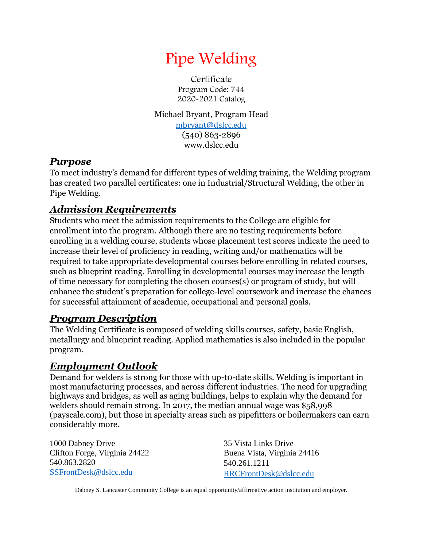

Certificate Program Code: 744 2020-2021 Catalog

Michael Bryant, Program Head

[mbryant@dslcc.edu](mailto:mbryant@dslcc.edu) (540) 863-2896 www.dslcc.edu

## *Purpose*

To meet industry's demand for different types of welding training, the Welding program has created two parallel certificates: one in Industrial/Structural Welding, the other in Pipe Welding.

# *Admission Requirements*

Students who meet the admission requirements to the College are eligible for enrollment into the program. Although there are no testing requirements before enrolling in a welding course, students whose placement test scores indicate the need to increase their level of proficiency in reading, writing and/or mathematics will be required to take appropriate developmental courses before enrolling in related courses, such as blueprint reading. Enrolling in developmental courses may increase the length of time necessary for completing the chosen courses(s) or program of study, but will enhance the student's preparation for college-level coursework and increase the chances for successful attainment of academic, occupational and personal goals.

## *Program Description*

The Welding Certificate is composed of welding skills courses, safety, basic English, metallurgy and blueprint reading. Applied mathematics is also included in the popular program.

## *Employment Outlook*

Demand for welders is strong for those with up-t0-date skills. Welding is important in most manufacturing processes, and across different industries. The need for upgrading highways and bridges, as well as aging buildings, helps to explain why the demand for welders should remain strong. In 2017, the median annual wage was \$58,998 (payscale.com), but those in specialty areas such as pipefitters or boilermakers can earn considerably more.

1000 Dabney Drive Clifton Forge, Virginia 24422 540.863.2820 [SSFrontDesk@dslcc.edu](mailto:SSFrontDesk@dslcc.edu)

35 Vista Links Drive Buena Vista, Virginia 24416 540.261.1211 [RRCFrontDesk@dslcc.edu](mailto:RRCFrontDesk@dslcc.edu)

Dabney S. Lancaster Community College is an equal opportunity/affirmative action institution and employer.